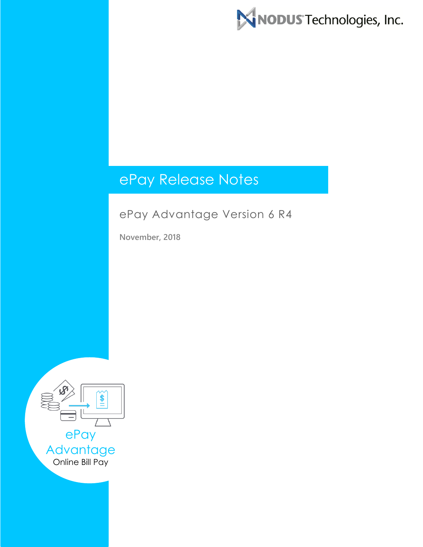

# ePay Release Notes

# ePay Advantage Version 6 R4

**November, 2018**

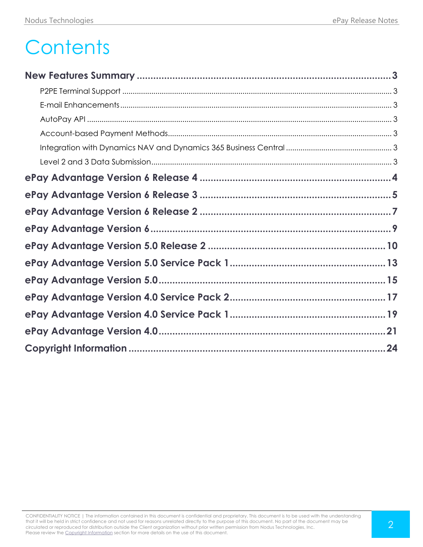# **Contents**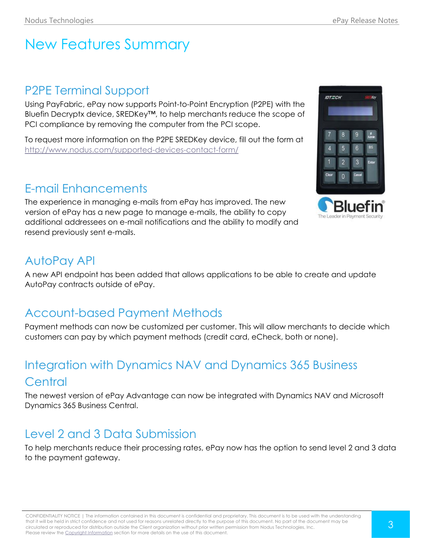# <span id="page-2-0"></span>New Features Summary

# <span id="page-2-1"></span>P2PE Terminal Support

Using PayFabric, ePay now supports Point-to-Point Encryption (P2PE) with the Bluefin Decryptx device, SREDKey™, to help merchants reduce the scope of PCI compliance by removing the computer from the PCI scope.

To request more information on the P2PE SREDKey device, fill out the form at <http://www.nodus.com/supported-devices-contact-form/>

# <span id="page-2-2"></span>E-mail Enhancements

The experience in managing e-mails from ePay has improved. The new version of ePay has a new page to manage e-mails, the ability to copy additional addressees on e-mail notifications and the ability to modify and resend previously sent e-mails.

# <span id="page-2-3"></span>AutoPay API

A new API endpoint has been added that allows applications to be able to create and update AutoPay contracts outside of ePay.

# <span id="page-2-4"></span>Account-based Payment Methods

Payment methods can now be customized per customer. This will allow merchants to decide which customers can pay by which payment methods (credit card, eCheck, both or none).

# <span id="page-2-5"></span>Integration with Dynamics NAV and Dynamics 365 Business **Central**

The newest version of ePay Advantage can now be integrated with Dynamics NAV and Microsoft Dynamics 365 Business Central.

# <span id="page-2-6"></span>Level 2 and 3 Data Submission

To help merchants reduce their processing rates, ePay now has the option to send level 2 and 3 data to the payment gateway.



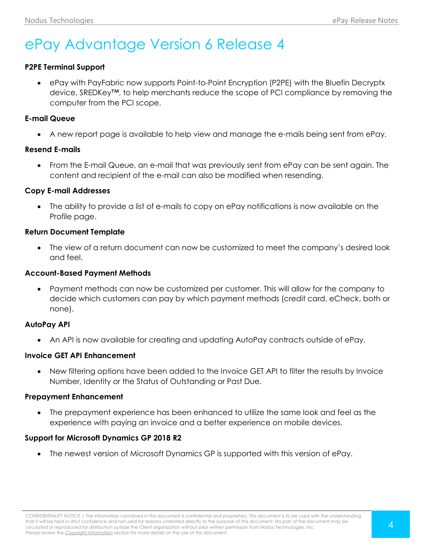# <span id="page-3-0"></span>ePay Advantage Version 6 Release 4

### **P2PE Terminal Support**

 ePay with PayFabric now supports Point-to-Point Encryption (P2PE) with the Bluefin Decryptx device, SREDKey™, to help merchants reduce the scope of PCI compliance by removing the computer from the PCI scope.

#### **E-mail Queue**

A new report page is available to help view and manage the e-mails being sent from ePay.

#### **Resend E-mails**

 From the E-mail Queue, an e-mail that was previously sent from ePay can be sent again. The content and recipient of the e-mail can also be modified when resending.

#### **Copy E-mail Addresses**

 The ability to provide a list of e-mails to copy on ePay notifications is now available on the Profile page.

#### **Return Document Template**

 The view of a return document can now be customized to meet the company's desired look and feel.

#### **Account-Based Payment Methods**

 Payment methods can now be customized per customer. This will allow for the company to decide which customers can pay by which payment methods (credit card, eCheck, both or none).

#### **AutoPay API**

An API is now available for creating and updating AutoPay contracts outside of ePay.

#### **Invoice GET API Enhancement**

 New filtering options have been added to the Invoice GET API to filter the results by Invoice Number, Identity or the Status of Outstanding or Past Due.

#### **Prepayment Enhancement**

 The prepayment experience has been enhanced to utilize the same look and feel as the experience with paying an invoice and a better experience on mobile devices.

#### **Support for Microsoft Dynamics GP 2018 R2**

The newest version of Microsoft Dynamics GP is supported with this version of ePay.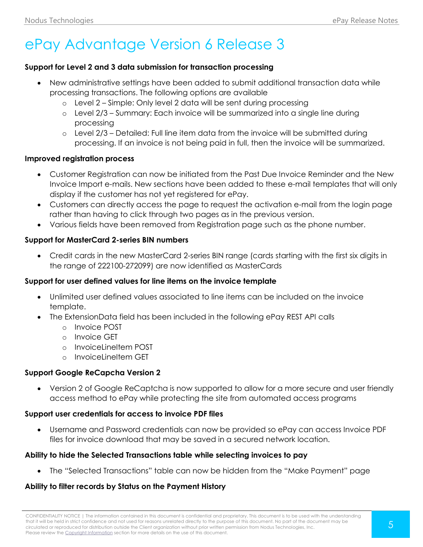# <span id="page-4-0"></span>ePay Advantage Version 6 Release 3

#### **Support for Level 2 and 3 data submission for transaction processing**

- New administrative settings have been added to submit additional transaction data while processing transactions. The following options are available
	- o Level 2 Simple: Only level 2 data will be sent during processing
	- o Level 2/3 Summary: Each invoice will be summarized into a single line during processing
	- $\circ$  Level 2/3 Detailed: Full line item data from the invoice will be submitted during processing. If an invoice is not being paid in full, then the invoice will be summarized.

#### **Improved registration process**

- Customer Registration can now be initiated from the Past Due Invoice Reminder and the New Invoice Import e-mails. New sections have been added to these e-mail templates that will only display if the customer has not yet registered for ePay.
- Customers can directly access the page to request the activation e-mail from the login page rather than having to click through two pages as in the previous version.
- Various fields have been removed from Registration page such as the phone number.

#### **Support for MasterCard 2-series BIN numbers**

 Credit cards in the new MasterCard 2-series BIN range (cards starting with the first six digits in the range of 222100-272099) are now identified as MasterCards

#### **Support for user defined values for line items on the invoice template**

- Unlimited user defined values associated to line items can be included on the invoice template.
- The ExtensionData field has been included in the following ePay REST API calls
	- o Invoice POST
	- o Invoice GET
	- $\circ$  Invoicel ineltem POST
	- o InvoiceLineItem GET

#### **Support Google ReCapcha Version 2**

 Version 2 of Google ReCaptcha is now supported to allow for a more secure and user friendly access method to ePay while protecting the site from automated access programs

#### **Support user credentials for access to invoice PDF files**

 Username and Password credentials can now be provided so ePay can access Invoice PDF files for invoice download that may be saved in a secured network location.

#### **Ability to hide the Selected Transactions table while selecting invoices to pay**

The "Selected Transactions" table can now be hidden from the "Make Payment" page

# **Ability to filter records by Status on the Payment History**

CONFIDENTIALITY NOTICE | The information contained in this document is confidential and proprietary. This document is to be used with the understanding that it will be held in strict confidence and not used for reasons unrelated directly to the purpose of this document. No part of the document may be circulated or reproduced for distribution outside the Client organization without prior written permission from Nodus Technologies, Inc. Please review the Copyright Information section for more details on the use of this document.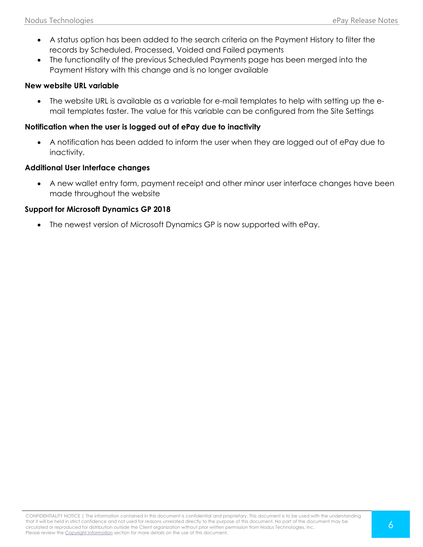- A status option has been added to the search criteria on the Payment History to filter the records by Scheduled, Processed, Voided and Failed payments
- The functionality of the previous Scheduled Payments page has been merged into the Payment History with this change and is no longer available

#### **New website URL variable**

 The website URL is available as a variable for e-mail templates to help with setting up the email templates faster. The value for this variable can be configured from the Site Settings

#### **Notification when the user is logged out of ePay due to inactivity**

 A notification has been added to inform the user when they are logged out of ePay due to inactivity.

#### **Additional User Interface changes**

 A new wallet entry form, payment receipt and other minor user interface changes have been made throughout the website

#### **Support for Microsoft Dynamics GP 2018**

The newest version of Microsoft Dynamics GP is now supported with ePay.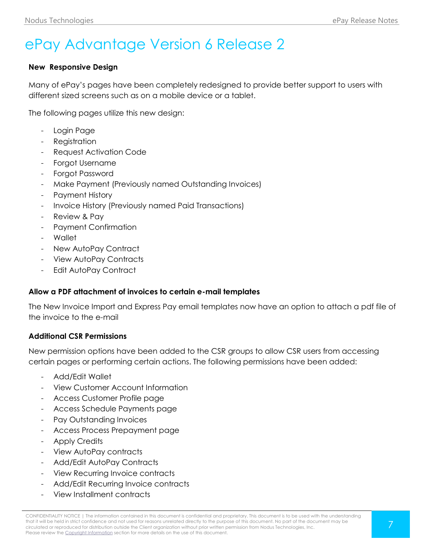# <span id="page-6-0"></span>ePay Advantage Version 6 Release 2

#### **New Responsive Design**

Many of ePay's pages have been completely redesigned to provide better support to users with different sized screens such as on a mobile device or a tablet.

The following pages utilize this new design:

- Login Page
- Registration
- Request Activation Code
- Forgot Username
- Forgot Password
- Make Payment (Previously named Outstanding Invoices)
- Payment History
- Invoice History (Previously named Paid Transactions)
- Review & Pay
- Payment Confirmation
- Wallet
- New AutoPay Contract
- View AutoPay Contracts
- Edit AutoPay Contract

#### **Allow a PDF attachment of invoices to certain e-mail templates**

The New Invoice Import and Express Pay email templates now have an option to attach a pdf file of the invoice to the e-mail

#### **Additional CSR Permissions**

New permission options have been added to the CSR groups to allow CSR users from accessing certain pages or performing certain actions. The following permissions have been added:

- Add/Edit Wallet
- View Customer Account Information
- Access Customer Profile page
- Access Schedule Payments page
- Pay Outstanding Invoices
- Access Process Prepayment page
- Apply Credits
- View AutoPay contracts
- Add/Edit AutoPay Contracts
- View Recurring Invoice contracts
- Add/Edit Recurring Invoice contracts
- View Installment contracts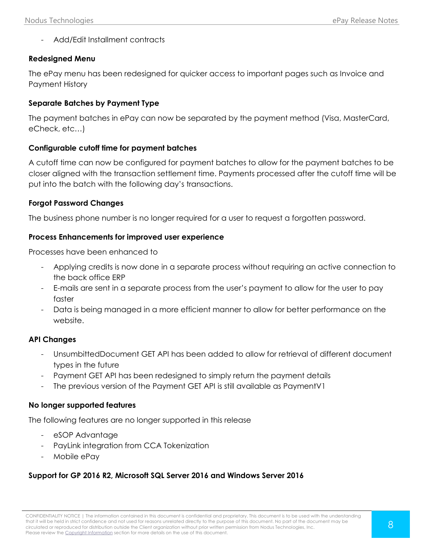- Add/Edit Installment contracts

#### **Redesigned Menu**

The ePay menu has been redesigned for quicker access to important pages such as Invoice and Payment History

#### **Separate Batches by Payment Type**

The payment batches in ePay can now be separated by the payment method (Visa, MasterCard, eCheck, etc…)

#### **Configurable cutoff time for payment batches**

A cutoff time can now be configured for payment batches to allow for the payment batches to be closer aligned with the transaction settlement time. Payments processed after the cutoff time will be put into the batch with the following day's transactions.

#### **Forgot Password Changes**

The business phone number is no longer required for a user to request a forgotten password.

#### **Process Enhancements for improved user experience**

Processes have been enhanced to

- Applying credits is now done in a separate process without requiring an active connection to the back office ERP
- E-mails are sent in a separate process from the user's payment to allow for the user to pay faster
- Data is being managed in a more efficient manner to allow for better performance on the website.

#### **API Changes**

- UnsumbittedDocument GET API has been added to allow for retrieval of different document types in the future
- Payment GET API has been redesigned to simply return the payment details
- The previous version of the Payment GET API is still available as PaymentV1

#### **No longer supported features**

The following features are no longer supported in this release

- eSOP Advantage
- PayLink integration from CCA Tokenization
- Mobile ePay

# **Support for GP 2016 R2, Microsoft SQL Server 2016 and Windows Server 2016**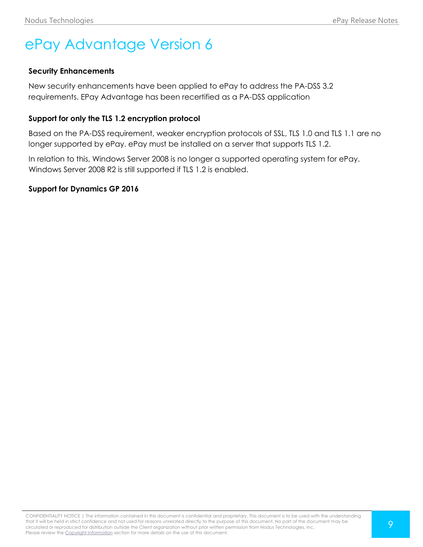# <span id="page-8-0"></span>ePay Advantage Version 6

## **Security Enhancements**

New security enhancements have been applied to ePay to address the PA-DSS 3.2 requirements. EPay Advantage has been recertified as a PA-DSS application

## **Support for only the TLS 1.2 encryption protocol**

Based on the PA-DSS requirement, weaker encryption protocols of SSL, TLS 1.0 and TLS 1.1 are no longer supported by ePay. ePay must be installed on a server that supports TLS 1.2.

In relation to this, Windows Server 2008 is no longer a supported operating system for ePay. Windows Server 2008 R2 is still supported if TLS 1.2 is enabled.

#### **Support for Dynamics GP 2016**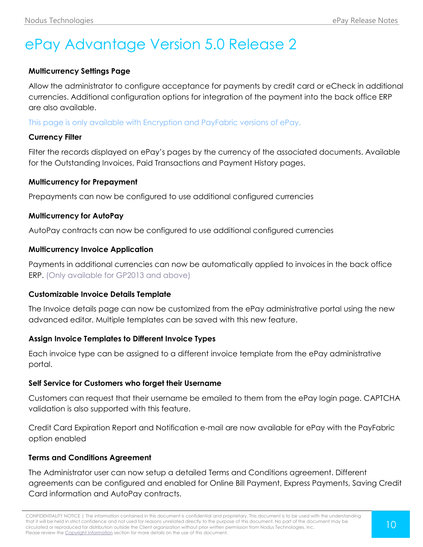# <span id="page-9-0"></span>ePay Advantage Version 5.0 Release 2

## **Multicurrency Settings Page**

Allow the administrator to configure acceptance for payments by credit card or eCheck in additional currencies. Additional configuration options for integration of the payment into the back office ERP are also available.

This page is only available with Encryption and PayFabric versions of ePay.

#### **Currency Filter**

Filter the records displayed on ePay's pages by the currency of the associated documents. Available for the Outstanding Invoices, Paid Transactions and Payment History pages.

#### **Multicurrency for Prepayment**

Prepayments can now be configured to use additional configured currencies

#### **Multicurrency for AutoPay**

AutoPay contracts can now be configured to use additional configured currencies

#### **Multicurrency Invoice Application**

Payments in additional currencies can now be automatically applied to invoices in the back office ERP. (Only available for GP2013 and above)

#### **Customizable Invoice Details Template**

The Invoice details page can now be customized from the ePay administrative portal using the new advanced editor. Multiple templates can be saved with this new feature.

#### **Assign Invoice Templates to Different Invoice Types**

Each invoice type can be assigned to a different invoice template from the ePay administrative portal.

#### **Self Service for Customers who forget their Username**

Customers can request that their username be emailed to them from the ePay login page. CAPTCHA validation is also supported with this feature.

Credit Card Expiration Report and Notification e-mail are now available for ePay with the PayFabric option enabled

#### **Terms and Conditions Agreement**

The Administrator user can now setup a detailed Terms and Conditions agreement. Different agreements can be configured and enabled for Online Bill Payment, Express Payments, Saving Credit Card information and AutoPay contracts.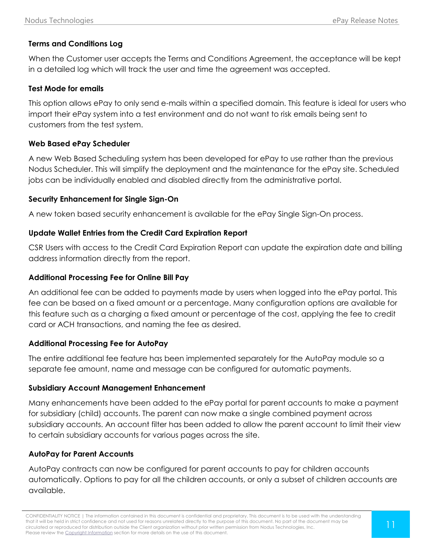# **Terms and Conditions Log**

When the Customer user accepts the Terms and Conditions Agreement, the acceptance will be kept in a detailed log which will track the user and time the agreement was accepted.

#### **Test Mode for emails**

This option allows ePay to only send e-mails within a specified domain. This feature is ideal for users who import their ePay system into a test environment and do not want to risk emails being sent to customers from the test system.

#### **Web Based ePay Scheduler**

A new Web Based Scheduling system has been developed for ePay to use rather than the previous Nodus Scheduler. This will simplify the deployment and the maintenance for the ePay site. Scheduled jobs can be individually enabled and disabled directly from the administrative portal.

#### **Security Enhancement for Single Sign-On**

A new token based security enhancement is available for the ePay Single Sign-On process.

#### **Update Wallet Entries from the Credit Card Expiration Report**

CSR Users with access to the Credit Card Expiration Report can update the expiration date and billing address information directly from the report.

#### **Additional Processing Fee for Online Bill Pay**

An additional fee can be added to payments made by users when logged into the ePay portal. This fee can be based on a fixed amount or a percentage. Many configuration options are available for this feature such as a charging a fixed amount or percentage of the cost, applying the fee to credit card or ACH transactions, and naming the fee as desired.

#### **Additional Processing Fee for AutoPay**

The entire additional fee feature has been implemented separately for the AutoPay module so a separate fee amount, name and message can be configured for automatic payments.

#### **Subsidiary Account Management Enhancement**

Many enhancements have been added to the ePay portal for parent accounts to make a payment for subsidiary (child) accounts. The parent can now make a single combined payment across subsidiary accounts. An account filter has been added to allow the parent account to limit their view to certain subsidiary accounts for various pages across the site.

#### **AutoPay for Parent Accounts**

AutoPay contracts can now be configured for parent accounts to pay for children accounts automatically. Options to pay for all the children accounts, or only a subset of children accounts are available.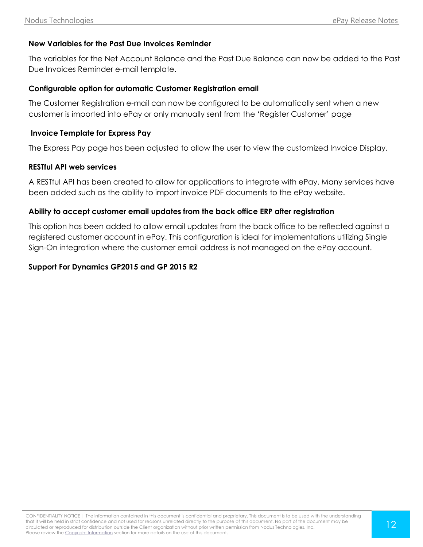## **New Variables for the Past Due Invoices Reminder**

The variables for the Net Account Balance and the Past Due Balance can now be added to the Past Due Invoices Reminder e-mail template.

#### **Configurable option for automatic Customer Registration email**

The Customer Registration e-mail can now be configured to be automatically sent when a new customer is imported into ePay or only manually sent from the 'Register Customer' page

#### **Invoice Template for Express Pay**

The Express Pay page has been adjusted to allow the user to view the customized Invoice Display.

#### **RESTful API web services**

A RESTful API has been created to allow for applications to integrate with ePay. Many services have been added such as the ability to import invoice PDF documents to the ePay website.

#### **Ability to accept customer email updates from the back office ERP after registration**

This option has been added to allow email updates from the back office to be reflected against a registered customer account in ePay. This configuration is ideal for implementations utilizing Single Sign-On integration where the customer email address is not managed on the ePay account.

#### **Support For Dynamics GP2015 and GP 2015 R2**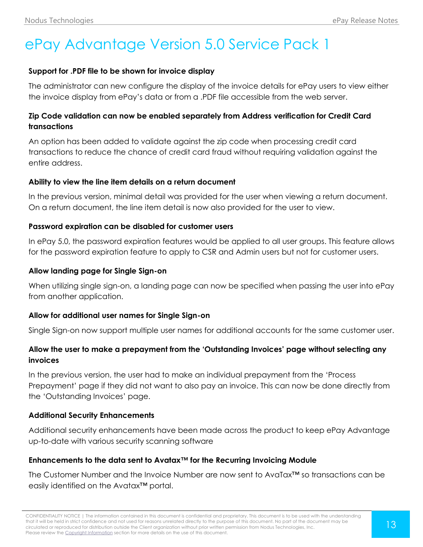# <span id="page-12-0"></span>ePay Advantage Version 5.0 Service Pack 1

### **Support for .PDF file to be shown for invoice display**

The administrator can new configure the display of the invoice details for ePay users to view either the invoice display from ePay's data or from a .PDF file accessible from the web server.

# **Zip Code validation can now be enabled separately from Address verification for Credit Card transactions**

An option has been added to validate against the zip code when processing credit card transactions to reduce the chance of credit card fraud without requiring validation against the entire address.

#### **Ability to view the line item details on a return document**

In the previous version, minimal detail was provided for the user when viewing a return document. On a return document, the line item detail is now also provided for the user to view.

## **Password expiration can be disabled for customer users**

In ePay 5.0, the password expiration features would be applied to all user groups. This feature allows for the password expiration feature to apply to CSR and Admin users but not for customer users.

## **Allow landing page for Single Sign-on**

When utilizing single sign-on, a landing page can now be specified when passing the user into ePay from another application.

#### **Allow for additional user names for Single Sign-on**

Single Sign-on now support multiple user names for additional accounts for the same customer user.

# **Allow the user to make a prepayment from the 'Outstanding Invoices' page without selecting any invoices**

In the previous version, the user had to make an individual prepayment from the 'Process Prepayment' page if they did not want to also pay an invoice. This can now be done directly from the 'Outstanding Invoices' page.

#### **Additional Security Enhancements**

Additional security enhancements have been made across the product to keep ePay Advantage up-to-date with various security scanning software

# **Enhancements to the data sent to Avatax™ for the Recurring Invoicing Module**

The Customer Number and the Invoice Number are now sent to AvaTax™ so transactions can be easily identified on the Avatax™ portal.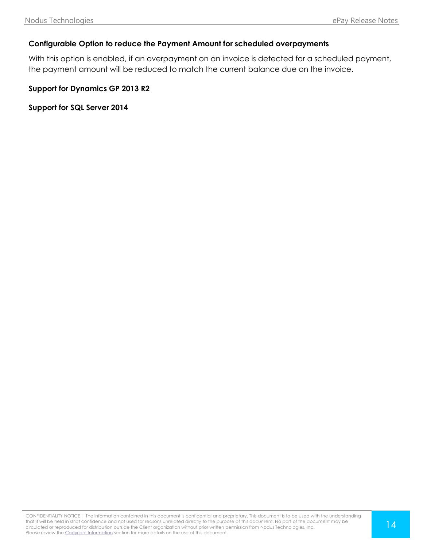## **Configurable Option to reduce the Payment Amount for scheduled overpayments**

With this option is enabled, if an overpayment on an invoice is detected for a scheduled payment, the payment amount will be reduced to match the current balance due on the invoice.

**Support for Dynamics GP 2013 R2**

**Support for SQL Server 2014**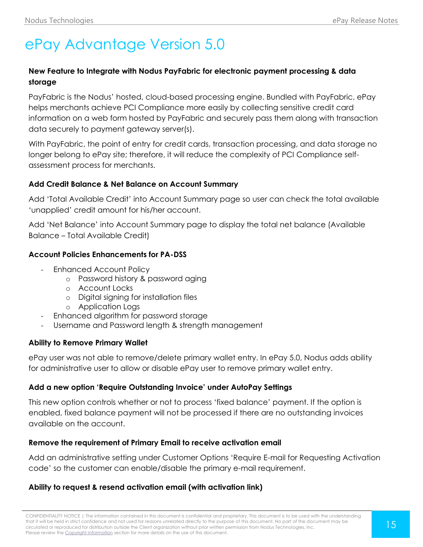# <span id="page-14-0"></span>ePay Advantage Version 5.0

# **New Feature to Integrate with Nodus PayFabric for electronic payment processing & data storage**

PayFabric is the Nodus' hosted, cloud-based processing engine. Bundled with PayFabric, ePay helps merchants achieve PCI Compliance more easily by collecting sensitive credit card information on a web form hosted by PayFabric and securely pass them along with transaction data securely to payment gateway server(s).

With PayFabric, the point of entry for credit cards, transaction processing, and data storage no longer belong to ePay site; therefore, it will reduce the complexity of PCI Compliance selfassessment process for merchants.

## **Add Credit Balance & Net Balance on Account Summary**

Add 'Total Available Credit' into Account Summary page so user can check the total available 'unapplied' credit amount for his/her account.

Add 'Net Balance' into Account Summary page to display the total net balance (Available Balance – Total Available Credit)

## **Account Policies Enhancements for PA-DSS**

- Enhanced Account Policy
	- o Password history & password aging
	- o Account Locks
	- o Digital signing for installation files
	- o Application Logs
	- Enhanced algorithm for password storage
- Username and Password length & strength management

#### **Ability to Remove Primary Wallet**

ePay user was not able to remove/delete primary wallet entry. In ePay 5.0, Nodus adds ability for administrative user to allow or disable ePay user to remove primary wallet entry.

# **Add a new option 'Require Outstanding Invoice' under AutoPay Settings**

This new option controls whether or not to process 'fixed balance' payment. If the option is enabled, fixed balance payment will not be processed if there are no outstanding invoices available on the account.

#### **Remove the requirement of Primary Email to receive activation email**

Add an administrative setting under Customer Options 'Require E-mail for Requesting Activation code' so the customer can enable/disable the primary e-mail requirement.

# **Ability to request & resend activation email (with activation link)**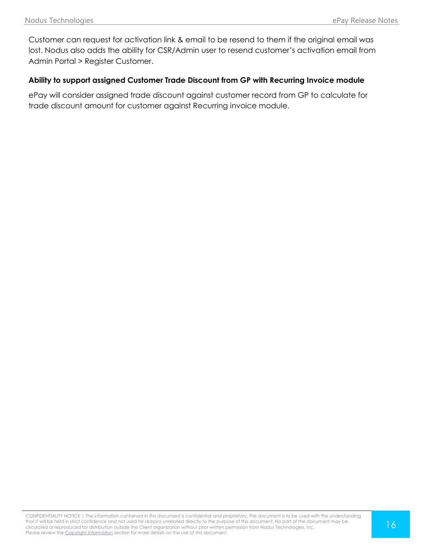Customer can request for activation link & email to be resend to them if the original email was lost. Nodus also adds the ability for CSR/Admin user to resend customer's activation email from Admin Portal > Register Customer.

### **Ability to support assigned Customer Trade Discount from GP with Recurring Invoice module**

ePay will consider assigned trade discount against customer record from GP to calculate for trade discount amount for customer against Recurring invoice module.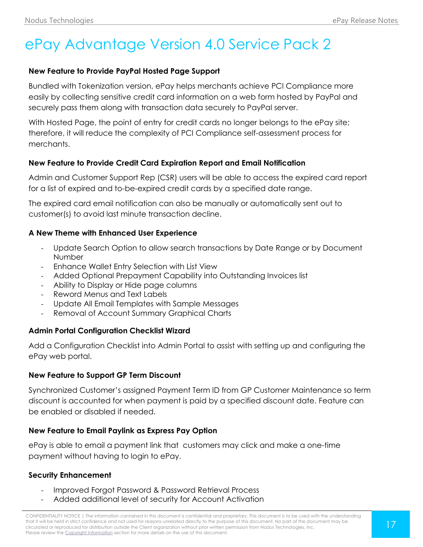# <span id="page-16-0"></span>ePay Advantage Version 4.0 Service Pack 2

#### **New Feature to Provide PayPal Hosted Page Support**

Bundled with Tokenization version, ePay helps merchants achieve PCI Compliance more easily by collecting sensitive credit card information on a web form hosted by PayPal and securely pass them along with transaction data securely to PayPal server.

With Hosted Page, the point of entry for credit cards no longer belongs to the ePay site; therefore, it will reduce the complexity of PCI Compliance self-assessment process for merchants.

## **New Feature to Provide Credit Card Expiration Report and Email Notification**

Admin and Customer Support Rep (CSR) users will be able to access the expired card report for a list of expired and to-be-expired credit cards by a specified date range.

The expired card email notification can also be manually or automatically sent out to customer(s) to avoid last minute transaction decline.

## **A New Theme with Enhanced User Experience**

- Update Search Option to allow search transactions by Date Range or by Document Number
- Enhance Wallet Entry Selection with List View
- Added Optional Prepayment Capability into Outstanding Invoices list
- Ability to Display or Hide page columns
- Reword Menus and Text Labels
- Update All Email Templates with Sample Messages
- Removal of Account Summary Graphical Charts

# **Admin Portal Configuration Checklist Wizard**

Add a Configuration Checklist into Admin Portal to assist with setting up and configuring the ePay web portal.

#### **New Feature to Support GP Term Discount**

Synchronized Customer's assigned Payment Term ID from GP Customer Maintenance so term discount is accounted for when payment is paid by a specified discount date. Feature can be enabled or disabled if needed.

#### **New Feature to Email Paylink as Express Pay Option**

ePay is able to email a payment link that customers may click and make a one-time payment without having to login to ePay.

# **Security Enhancement**

- Improved Forgot Password & Password Retrieval Process
- Added additional level of security for Account Activation

CONFIDENTIALITY NOTICE | The information contained in this document is confidential and proprietary. This document is to be used with the understanding that it will be held in strict confidence and not used for reasons unrelated directly to the purpose of this document. No part of the document may be circulated or reproduced for distribution outside the Client organization without prior written permission from Nodus Technologies, Inc. Please review the Copyright Information section for more details on the use of this document.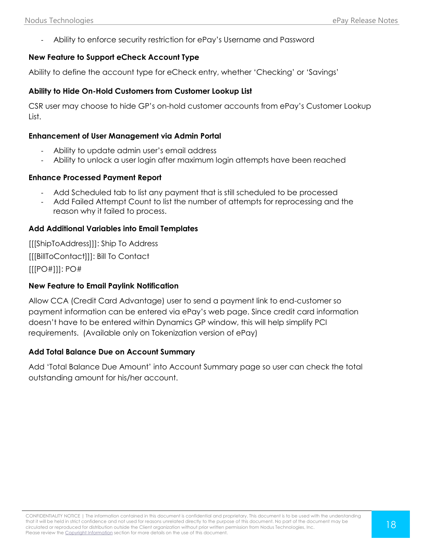- Ability to enforce security restriction for ePay's Username and Password

#### **New Feature to Support eCheck Account Type**

Ability to define the account type for eCheck entry, whether 'Checking' or 'Savings'

#### **Ability to Hide On-Hold Customers from Customer Lookup List**

CSR user may choose to hide GP's on-hold customer accounts from ePay's Customer Lookup List.

#### **Enhancement of User Management via Admin Portal**

- Ability to update admin user's email address
- Ability to unlock a user login after maximum login attempts have been reached

#### **Enhance Processed Payment Report**

- Add Scheduled tab to list any payment that is still scheduled to be processed
- Add Failed Attempt Count to list the number of attempts for reprocessing and the reason why it failed to process.

#### **Add Additional Variables into Email Templates**

[[[ShipToAddress]]]: Ship To Address [[[BillToContact]]]: Bill To Contact [[[PO#]]]: PO#

#### **New Feature to Email Paylink Notification**

Allow CCA (Credit Card Advantage) user to send a payment link to end-customer so payment information can be entered via ePay's web page. Since credit card information doesn't have to be entered within Dynamics GP window, this will help simplify PCI requirements. (Available only on Tokenization version of ePay)

#### **Add Total Balance Due on Account Summary**

Add 'Total Balance Due Amount' into Account Summary page so user can check the total outstanding amount for his/her account.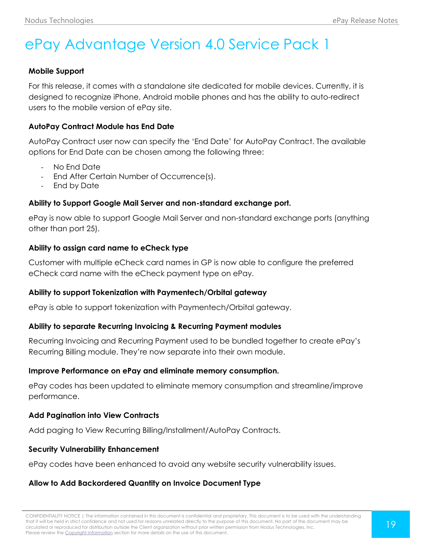# <span id="page-18-0"></span>ePay Advantage Version 4.0 Service Pack 1

### **Mobile Support**

For this release, it comes with a standalone site dedicated for mobile devices. Currently, it is designed to recognize iPhone, Android mobile phones and has the ability to auto-redirect users to the mobile version of ePay site.

## **AutoPay Contract Module has End Date**

AutoPay Contract user now can specify the 'End Date' for AutoPay Contract. The available options for End Date can be chosen among the following three:

- No End Date
- End After Certain Number of Occurrence(s).
- End by Date

## **Ability to Support Google Mail Server and non-standard exchange port.**

ePay is now able to support Google Mail Server and non-standard exchange ports (anything other than port 25).

## **Ability to assign card name to eCheck type**

Customer with multiple eCheck card names in GP is now able to configure the preferred eCheck card name with the eCheck payment type on ePay.

#### **Ability to support Tokenization with Paymentech/Orbital gateway**

ePay is able to support tokenization with Paymentech/Orbital gateway.

#### **Ability to separate Recurring Invoicing & Recurring Payment modules**

Recurring Invoicing and Recurring Payment used to be bundled together to create ePay's Recurring Billing module. They're now separate into their own module.

#### **Improve Performance on ePay and eliminate memory consumption.**

ePay codes has been updated to eliminate memory consumption and streamline/improve performance.

#### **Add Pagination into View Contracts**

Add paging to View Recurring Billing/Installment/AutoPay Contracts.

#### **Security Vulnerability Enhancement**

ePay codes have been enhanced to avoid any website security vulnerability issues.

# **Allow to Add Backordered Quantity on Invoice Document Type**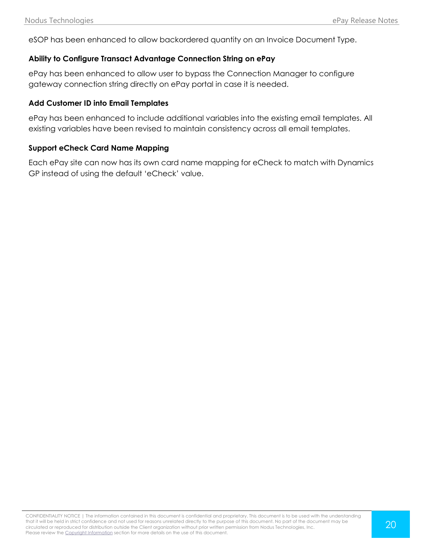eSOP has been enhanced to allow backordered quantity on an Invoice Document Type.

### **Ability to Configure Transact Advantage Connection String on ePay**

ePay has been enhanced to allow user to bypass the Connection Manager to configure gateway connection string directly on ePay portal in case it is needed.

#### **Add Customer ID into Email Templates**

ePay has been enhanced to include additional variables into the existing email templates. All existing variables have been revised to maintain consistency across all email templates.

#### **Support eCheck Card Name Mapping**

Each ePay site can now has its own card name mapping for eCheck to match with Dynamics GP instead of using the default 'eCheck' value.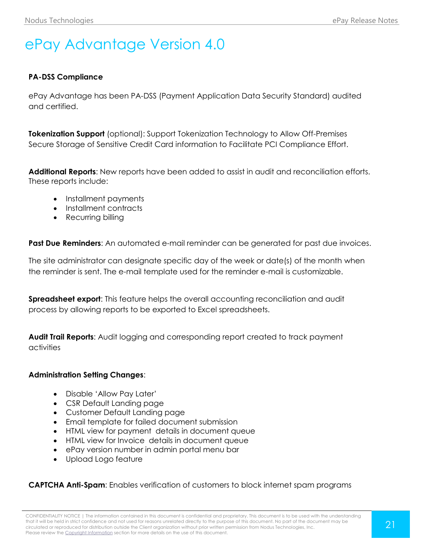# <span id="page-20-0"></span>ePay Advantage Version 4.0

#### **PA-DSS Compliance**

ePay Advantage has been PA-DSS (Payment Application Data Security Standard) audited and certified.

**Tokenization Support** (optional): Support Tokenization Technology to Allow Off-Premises Secure Storage of Sensitive Credit Card information to Facilitate PCI Compliance Effort.

**Additional Reports**: New reports have been added to assist in audit and reconciliation efforts. These reports include:

- Installment payments
- Installment contracts
- Recurring billing

**Past Due Reminders**: An automated e-mail reminder can be generated for past due invoices.

The site administrator can designate specific day of the week or date(s) of the month when the reminder is sent. The e-mail template used for the reminder e-mail is customizable.

**Spreadsheet export:** This feature helps the overall accounting reconciliation and audit process by allowing reports to be exported to Excel spreadsheets.

**Audit Trail Reports**: Audit logging and corresponding report created to track payment activities

#### **Administration Setting Changes**:

- Disable 'Allow Pay Later'
- CSR Default Landing page
- Customer Default Landing page
- Email template for failed document submission
- HTML view for payment details in document queue
- HTML view for Invoice details in document queue
- ePay version number in admin portal menu bar
- Upload Logo feature

#### **CAPTCHA Anti-Spam**: Enables verification of customers to block internet spam programs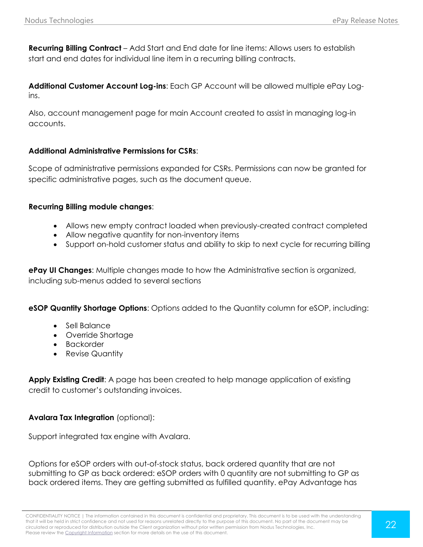**Recurring Billing Contract** – Add Start and End date for line items: Allows users to establish start and end dates for individual line item in a recurring billing contracts.

**Additional Customer Account Log-ins**: Each GP Account will be allowed multiple ePay Logins.

Also, account management page for main Account created to assist in managing log-in accounts.

## **Additional Administrative Permissions for CSRs**:

Scope of administrative permissions expanded for CSRs. Permissions can now be granted for specific administrative pages, such as the document queue.

#### **Recurring Billing module changes**:

- Allows new empty contract loaded when previously-created contract completed
- Allow negative quantity for non-inventory items
- Support on-hold customer status and ability to skip to next cycle for recurring billing

**ePay UI Changes**: Multiple changes made to how the Administrative section is organized, including sub-menus added to several sections

**eSOP Quantity Shortage Options**: Options added to the Quantity column for eSOP, including:

- Sell Balance
- Override Shortage
- Backorder
- Revise Quantity

Apply Existing Credit: A page has been created to help manage application of existing credit to customer's outstanding invoices.

# **Avalara Tax Integration** (optional):

Support integrated tax engine with Avalara.

Options for eSOP orders with out-of-stock status, back ordered quantity that are not submitting to GP as back ordered: eSOP orders with 0 quantity are not submitting to GP as back ordered items. They are getting submitted as fulfilled quantity. ePay Advantage has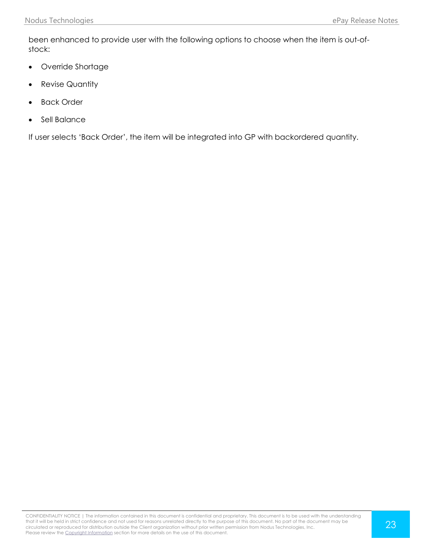been enhanced to provide user with the following options to choose when the item is out-ofstock:

- Override Shortage
- Revise Quantity
- Back Order
- Sell Balance

If user selects 'Back Order', the item will be integrated into GP with backordered quantity.